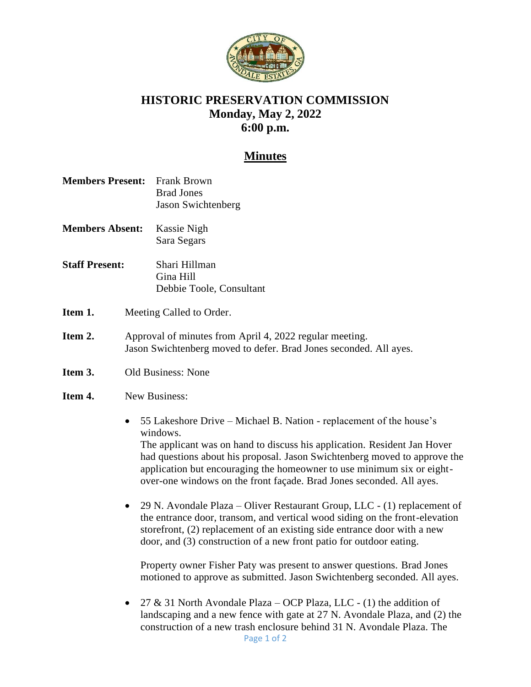

## **HISTORIC PRESERVATION COMMISSION Monday, May 2, 2022 6:00 p.m.**

## **Minutes**

- **Members Present:** Frank Brown Brad Jones Jason Swichtenberg
- **Members Absent:** Kassie Nigh Sara Segars
- **Staff Present:** Shari Hillman Gina Hill Debbie Toole, Consultant
- **Item 1.** Meeting Called to Order.
- **Item 2.** Approval of minutes from April 4, 2022 regular meeting. Jason Swichtenberg moved to defer. Brad Jones seconded. All ayes.
- **Item 3.** Old Business: None

## **Item 4.** New Business:

- 55 Lakeshore Drive Michael B. Nation replacement of the house's windows. The applicant was on hand to discuss his application. Resident Jan Hover had questions about his proposal. Jason Swichtenberg moved to approve the application but encouraging the homeowner to use minimum six or eightover-one windows on the front façade. Brad Jones seconded. All ayes.
- 29 N. Avondale Plaza Oliver Restaurant Group, LLC (1) replacement of the entrance door, transom, and vertical wood siding on the front-elevation storefront, (2) replacement of an existing side entrance door with a new door, and (3) construction of a new front patio for outdoor eating.

Property owner Fisher Paty was present to answer questions. Brad Jones motioned to approve as submitted. Jason Swichtenberg seconded. All ayes.

Page 1 of 2 • 27 & 31 North Avondale Plaza – OCP Plaza, LLC - (1) the addition of landscaping and a new fence with gate at 27 N. Avondale Plaza, and (2) the construction of a new trash enclosure behind 31 N. Avondale Plaza. The